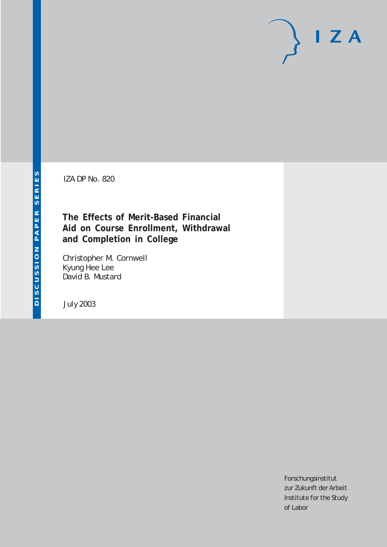IZA DP No. 820

## **The Effects of Merit-Based Financial Aid on Course Enrollment, Withdrawal and Completion in College**

Christopher M. Cornwell Kyung Hee Lee David B. Mustard

July 2003

Forschungsinstitut zur Zukunft der Arbeit Institute for the Study of Labor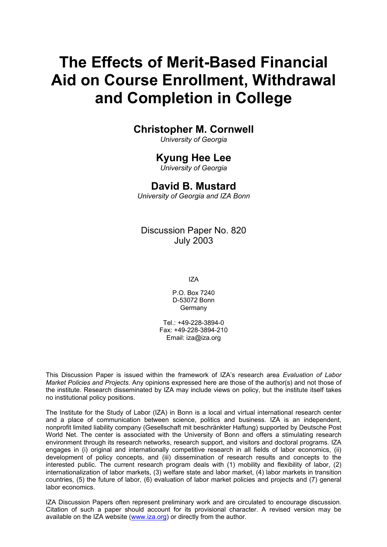# **The Effects of Merit-Based Financial Aid on Course Enrollment, Withdrawal and Completion in College**

### **Christopher M. Cornwell**

*University of Georgia* 

### **Kyung Hee Lee**

*University of Georgia* 

### **David B. Mustard**

*University of Georgia and IZA Bonn* 

Discussion Paper No. 820 July 2003

IZA

P.O. Box 7240 D-53072 Bonn Germany

Tel.: +49-228-3894-0 Fax: +49-228-3894-210 Email: [iza@iza.org](mailto:iza@iza.org)

This Discussion Paper is issued within the framework of IZA's research area *Evaluation of Labor Market Policies and Projects.* Any opinions expressed here are those of the author(s) and not those of the institute. Research disseminated by IZA may include views on policy, but the institute itself takes no institutional policy positions.

The Institute for the Study of Labor (IZA) in Bonn is a local and virtual international research center and a place of communication between science, politics and business. IZA is an independent, nonprofit limited liability company (Gesellschaft mit beschränkter Haftung) supported by Deutsche Post World Net. The center is associated with the University of Bonn and offers a stimulating research environment through its research networks, research support, and visitors and doctoral programs. IZA engages in (i) original and internationally competitive research in all fields of labor economics, (ii) development of policy concepts, and (iii) dissemination of research results and concepts to the interested public. The current research program deals with (1) mobility and flexibility of labor, (2) internationalization of labor markets, (3) welfare state and labor market, (4) labor markets in transition countries, (5) the future of labor, (6) evaluation of labor market policies and projects and (7) general labor economics.

IZA Discussion Papers often represent preliminary work and are circulated to encourage discussion. Citation of such a paper should account for its provisional character. A revised version may be available on the IZA website ([www.iza.org](http://www.iza.org/)) or directly from the author.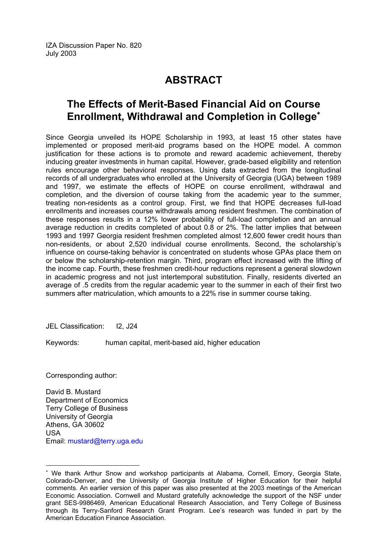## **ABSTRACT**

## **The Effects of Merit-Based Financial Aid on Course Enrollment, Withdrawal and Completion in College**[∗](#page-2-0)

Since Georgia unveiled its HOPE Scholarship in 1993, at least 15 other states have implemented or proposed merit-aid programs based on the HOPE model. A common justification for these actions is to promote and reward academic achievement, thereby inducing greater investments in human capital. However, grade-based eligibility and retention rules encourage other behavioral responses. Using data extracted from the longitudinal records of all undergraduates who enrolled at the University of Georgia (UGA) between 1989 and 1997, we estimate the effects of HOPE on course enrollment, withdrawal and completion, and the diversion of course taking from the academic year to the summer, treating non-residents as a control group. First, we find that HOPE decreases full-load enrollments and increases course withdrawals among resident freshmen. The combination of these responses results in a 12% lower probability of full-load completion and an annual average reduction in credits completed of about 0.8 or 2%. The latter implies that between 1993 and 1997 Georgia resident freshmen completed almost 12,600 fewer credit hours than non-residents, or about 2,520 individual course enrollments. Second, the scholarship's influence on course-taking behavior is concentrated on students whose GPAs place them on or below the scholarship-retention margin. Third, program effect increased with the lifting of the income cap. Fourth, these freshmen credit-hour reductions represent a general slowdown in academic progress and not just intertemporal substitution. Finally, residents diverted an average of .5 credits from the regular academic year to the summer in each of their first two summers after matriculation, which amounts to a 22% rise in summer course taking.

JEL Classification: I2, J24

Keywords: human capital, merit-based aid, higher education

Corresponding author:

 $\overline{a}$ 

David B. Mustard Department of Economics Terry College of Business University of Georgia Athens, GA 30602 USA Email: [mustard@terry.uga.edu](mailto:mustard@terry.uga.edu) 

<span id="page-2-0"></span><sup>∗</sup> We thank Arthur Snow and workshop participants at Alabama, Cornell, Emory, Georgia State, Colorado-Denver, and the University of Georgia Institute of Higher Education for their helpful comments. An earlier version of this paper was also presented at the 2003 meetings of the American Economic Association. Cornwell and Mustard gratefully acknowledge the support of the NSF under grant SES-9986469, American Educational Research Association, and Terry College of Business through its Terry-Sanford Research Grant Program. Lee's research was funded in part by the American Education Finance Association.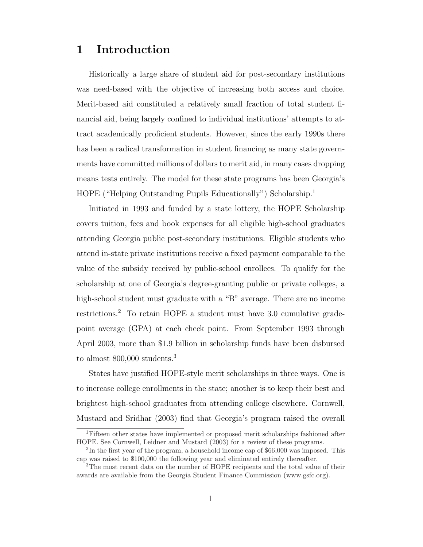## 1 Introduction

Historically a large share of student aid for post-secondary institutions was need-based with the objective of increasing both access and choice. Merit-based aid constituted a relatively small fraction of total student financial aid, being largely confined to individual institutions' attempts to attract academically proficient students. However, since the early 1990s there has been a radical transformation in student financing as many state governments have committed millions of dollars to merit aid, in many cases dropping means tests entirely. The model for these state programs has been Georgia's HOPE ("Helping Outstanding Pupils Educationally") Scholarship.<sup>1</sup>

Initiated in 1993 and funded by a state lottery, the HOPE Scholarship covers tuition, fees and book expenses for all eligible high-school graduates attending Georgia public post-secondary institutions. Eligible students who attend in-state private institutions receive a fixed payment comparable to the value of the subsidy received by public-school enrollees. To qualify for the scholarship at one of Georgia's degree-granting public or private colleges, a high-school student must graduate with a "B" average. There are no income restrictions.<sup>2</sup> To retain HOPE a student must have 3.0 cumulative gradepoint average (GPA) at each check point. From September 1993 through April 2003, more than \$1.9 billion in scholarship funds have been disbursed to almost 800,000 students.<sup>3</sup>

States have justified HOPE-style merit scholarships in three ways. One is to increase college enrollments in the state; another is to keep their best and brightest high-school graduates from attending college elsewhere. Cornwell, Mustard and Sridhar (2003) find that Georgia's program raised the overall

<sup>1</sup>Fifteen other states have implemented or proposed merit scholarships fashioned after HOPE. See Cornwell, Leidner and Mustard (2003) for a review of these programs.

<sup>&</sup>lt;sup>2</sup>In the first year of the program, a household income cap of \$66,000 was imposed. This cap was raised to \$100,000 the following year and eliminated entirely thereafter.

<sup>&</sup>lt;sup>3</sup>The most recent data on the number of HOPE recipients and the total value of their awards are available from the Georgia Student Finance Commission (www.gsfc.org).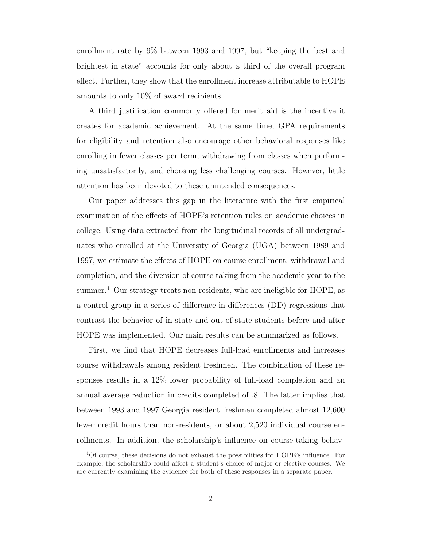enrollment rate by 9% between 1993 and 1997, but "keeping the best and brightest in state" accounts for only about a third of the overall program effect. Further, they show that the enrollment increase attributable to HOPE amounts to only 10% of award recipients.

A third justification commonly offered for merit aid is the incentive it creates for academic achievement. At the same time, GPA requirements for eligibility and retention also encourage other behavioral responses like enrolling in fewer classes per term, withdrawing from classes when performing unsatisfactorily, and choosing less challenging courses. However, little attention has been devoted to these unintended consequences.

Our paper addresses this gap in the literature with the first empirical examination of the effects of HOPE's retention rules on academic choices in college. Using data extracted from the longitudinal records of all undergraduates who enrolled at the University of Georgia (UGA) between 1989 and 1997, we estimate the effects of HOPE on course enrollment, withdrawal and completion, and the diversion of course taking from the academic year to the summer.<sup>4</sup> Our strategy treats non-residents, who are ineligible for HOPE, as a control group in a series of difference-in-differences (DD) regressions that contrast the behavior of in-state and out-of-state students before and after HOPE was implemented. Our main results can be summarized as follows.

First, we find that HOPE decreases full-load enrollments and increases course withdrawals among resident freshmen. The combination of these responses results in a 12% lower probability of full-load completion and an annual average reduction in credits completed of .8. The latter implies that between 1993 and 1997 Georgia resident freshmen completed almost 12,600 fewer credit hours than non-residents, or about 2,520 individual course enrollments. In addition, the scholarship's influence on course-taking behav-

<sup>4</sup>Of course, these decisions do not exhaust the possibilities for HOPE's influence. For example, the scholarship could affect a student's choice of major or elective courses. We are currently examining the evidence for both of these responses in a separate paper.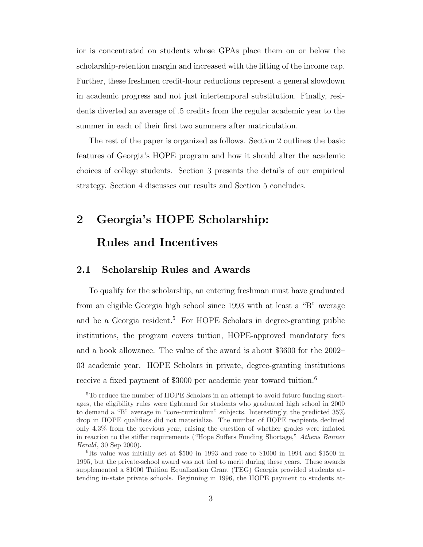ior is concentrated on students whose GPAs place them on or below the scholarship-retention margin and increased with the lifting of the income cap. Further, these freshmen credit-hour reductions represent a general slowdown in academic progress and not just intertemporal substitution. Finally, residents diverted an average of .5 credits from the regular academic year to the summer in each of their first two summers after matriculation.

The rest of the paper is organized as follows. Section 2 outlines the basic features of Georgia's HOPE program and how it should alter the academic choices of college students. Section 3 presents the details of our empirical strategy. Section 4 discusses our results and Section 5 concludes.

# 2 Georgia's HOPE Scholarship: Rules and Incentives

#### 2.1 Scholarship Rules and Awards

To qualify for the scholarship, an entering freshman must have graduated from an eligible Georgia high school since 1993 with at least a "B" average and be a Georgia resident.<sup>5</sup> For HOPE Scholars in degree-granting public institutions, the program covers tuition, HOPE-approved mandatory fees and a book allowance. The value of the award is about \$3600 for the 2002– 03 academic year. HOPE Scholars in private, degree-granting institutions receive a fixed payment of \$3000 per academic year toward tuition.<sup>6</sup>

<sup>5</sup>To reduce the number of HOPE Scholars in an attempt to avoid future funding shortages, the eligibility rules were tightened for students who graduated high school in 2000 to demand a "B" average in "core-curriculum" subjects. Interestingly, the predicted 35% drop in HOPE qualifiers did not materialize. The number of HOPE recipients declined only 4.3% from the previous year, raising the question of whether grades were inflated in reaction to the stiffer requirements ("Hope Suffers Funding Shortage," Athens Banner Herald, 30 Sep 2000).

<sup>6</sup> Its value was initially set at \$500 in 1993 and rose to \$1000 in 1994 and \$1500 in 1995, but the private-school award was not tied to merit during these years. These awards supplemented a \$1000 Tuition Equalization Grant (TEG) Georgia provided students attending in-state private schools. Beginning in 1996, the HOPE payment to students at-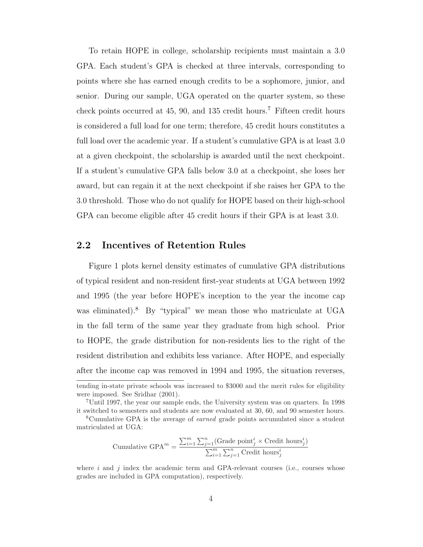To retain HOPE in college, scholarship recipients must maintain a 3.0 GPA. Each student's GPA is checked at three intervals, corresponding to points where she has earned enough credits to be a sophomore, junior, and senior. During our sample, UGA operated on the quarter system, so these check points occurred at  $45, 90$ , and  $135$  credit hours.<sup>7</sup> Fifteen credit hours is considered a full load for one term; therefore, 45 credit hours constitutes a full load over the academic year. If a student's cumulative GPA is at least 3.0 at a given checkpoint, the scholarship is awarded until the next checkpoint. If a student's cumulative GPA falls below 3.0 at a checkpoint, she loses her award, but can regain it at the next checkpoint if she raises her GPA to the 3.0 threshold. Those who do not qualify for HOPE based on their high-school GPA can become eligible after 45 credit hours if their GPA is at least 3.0.

#### 2.2 Incentives of Retention Rules

Figure 1 plots kernel density estimates of cumulative GPA distributions of typical resident and non-resident first-year students at UGA between 1992 and 1995 (the year before HOPE's inception to the year the income cap was eliminated).<sup>8</sup> By "typical" we mean those who matriculate at UGA in the fall term of the same year they graduate from high school. Prior to HOPE, the grade distribution for non-residents lies to the right of the resident distribution and exhibits less variance. After HOPE, and especially after the income cap was removed in 1994 and 1995, the situation reverses,

Cumulative GPA<sup>m</sup> = 
$$
\frac{\sum_{i=1}^{m} \sum_{j=1}^{n} (\text{Grade point}_{j}^{i} \times \text{Credit hours}_{j}^{i})}{\sum_{i=1}^{m} \sum_{j=1}^{n} \text{Credit hours}_{j}^{i}}
$$

where  $i$  and  $j$  index the academic term and GPA-relevant courses (i.e., courses whose grades are included in GPA computation), respectively.

tending in-state private schools was increased to \$3000 and the merit rules for eligibility were imposed. See Sridhar (2001).

<sup>7</sup>Until 1997, the year our sample ends, the University system was on quarters. In 1998 it switched to semesters and students are now evaluated at 30, 60, and 90 semester hours.

<sup>8</sup>Cumulative GPA is the average of earned grade points accumulated since a student matriculated at UGA: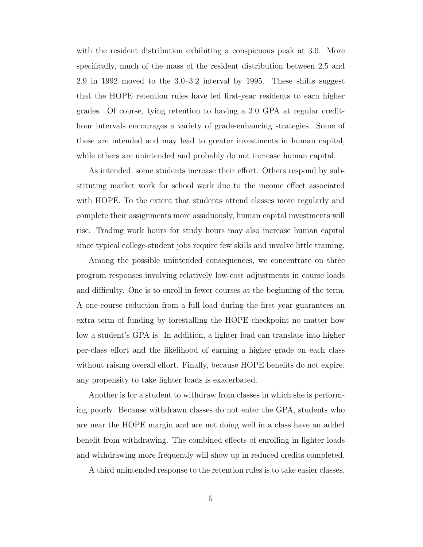with the resident distribution exhibiting a conspicuous peak at 3.0. More specifically, much of the mass of the resident distribution between 2.5 and 2.9 in 1992 moved to the 3.0–3.2 interval by 1995. These shifts suggest that the HOPE retention rules have led first-year residents to earn higher grades. Of course, tying retention to having a 3.0 GPA at regular credithour intervals encourages a variety of grade-enhancing strategies. Some of these are intended and may lead to greater investments in human capital, while others are unintended and probably do not increase human capital.

As intended, some students increase their effort. Others respond by substituting market work for school work due to the income effect associated with HOPE. To the extent that students attend classes more regularly and complete their assignments more assiduously, human capital investments will rise. Trading work hours for study hours may also increase human capital since typical college-student jobs require few skills and involve little training.

Among the possible unintended consequences, we concentrate on three program responses involving relatively low-cost adjustments in course loads and difficulty. One is to enroll in fewer courses at the beginning of the term. A one-course reduction from a full load during the first year guarantees an extra term of funding by forestalling the HOPE checkpoint no matter how low a student's GPA is. In addition, a lighter load can translate into higher per-class effort and the likelihood of earning a higher grade on each class without raising overall effort. Finally, because HOPE benefits do not expire, any propensity to take lighter loads is exacerbated.

Another is for a student to withdraw from classes in which she is performing poorly. Because withdrawn classes do not enter the GPA, students who are near the HOPE margin and are not doing well in a class have an added benefit from withdrawing. The combined effects of enrolling in lighter loads and withdrawing more frequently will show up in reduced credits completed.

A third unintended response to the retention rules is to take easier classes.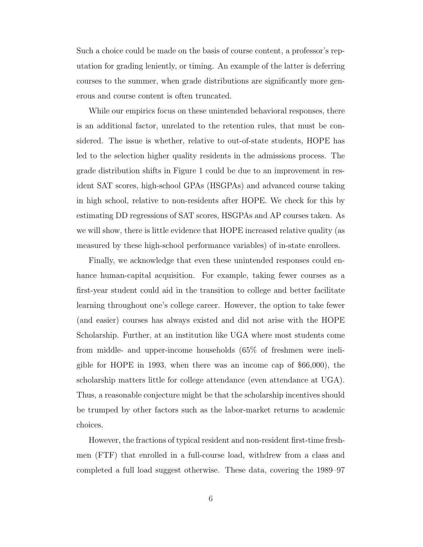Such a choice could be made on the basis of course content, a professor's reputation for grading leniently, or timing. An example of the latter is deferring courses to the summer, when grade distributions are significantly more generous and course content is often truncated.

While our empirics focus on these unintended behavioral responses, there is an additional factor, unrelated to the retention rules, that must be considered. The issue is whether, relative to out-of-state students, HOPE has led to the selection higher quality residents in the admissions process. The grade distribution shifts in Figure 1 could be due to an improvement in resident SAT scores, high-school GPAs (HSGPAs) and advanced course taking in high school, relative to non-residents after HOPE. We check for this by estimating DD regressions of SAT scores, HSGPAs and AP courses taken. As we will show, there is little evidence that HOPE increased relative quality (as measured by these high-school performance variables) of in-state enrollees.

Finally, we acknowledge that even these unintended responses could enhance human-capital acquisition. For example, taking fewer courses as a first-year student could aid in the transition to college and better facilitate learning throughout one's college career. However, the option to take fewer (and easier) courses has always existed and did not arise with the HOPE Scholarship. Further, at an institution like UGA where most students come from middle- and upper-income households (65% of freshmen were ineligible for HOPE in 1993, when there was an income cap of \$66,000), the scholarship matters little for college attendance (even attendance at UGA). Thus, a reasonable conjecture might be that the scholarship incentives should be trumped by other factors such as the labor-market returns to academic choices.

However, the fractions of typical resident and non-resident first-time freshmen (FTF) that enrolled in a full-course load, withdrew from a class and completed a full load suggest otherwise. These data, covering the 1989–97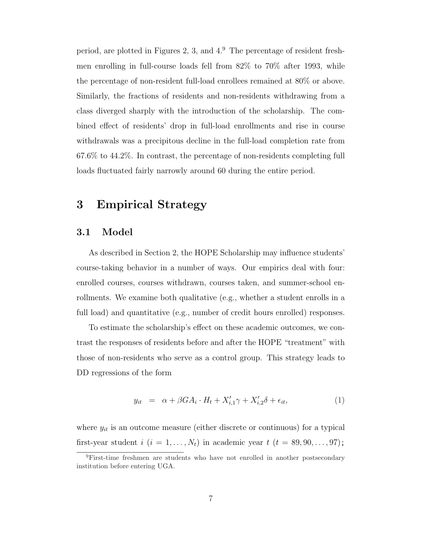period, are plotted in Figures 2, 3, and  $4<sup>9</sup>$ . The percentage of resident freshmen enrolling in full-course loads fell from 82% to 70% after 1993, while the percentage of non-resident full-load enrollees remained at 80% or above. Similarly, the fractions of residents and non-residents withdrawing from a class diverged sharply with the introduction of the scholarship. The combined effect of residents' drop in full-load enrollments and rise in course withdrawals was a precipitous decline in the full-load completion rate from 67.6% to 44.2%. In contrast, the percentage of non-residents completing full loads fluctuated fairly narrowly around 60 during the entire period.

## 3 Empirical Strategy

#### 3.1 Model

As described in Section 2, the HOPE Scholarship may influence students' course-taking behavior in a number of ways. Our empirics deal with four: enrolled courses, courses withdrawn, courses taken, and summer-school enrollments. We examine both qualitative (e.g., whether a student enrolls in a full load) and quantitative (e.g., number of credit hours enrolled) responses.

To estimate the scholarship's effect on these academic outcomes, we contrast the responses of residents before and after the HOPE "treatment" with those of non-residents who serve as a control group. This strategy leads to DD regressions of the form

$$
y_{it} = \alpha + \beta G A_i \cdot H_t + X'_{i,1} \gamma + X'_{i,2} \delta + \epsilon_{it}, \qquad (1)
$$

where  $y_{it}$  is an outcome measure (either discrete or continuous) for a typical first-year student  $i$   $(i = 1, ..., N_t)$  in academic year  $t$   $(t = 89, 90, ..., 97)$ ;

<sup>9</sup>First-time freshmen are students who have not enrolled in another postsecondary institution before entering UGA.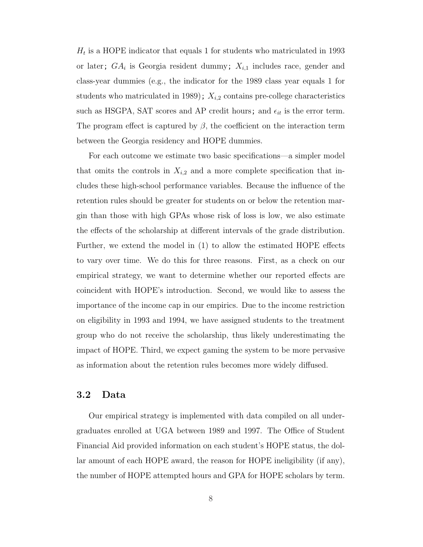$H_t$  is a HOPE indicator that equals 1 for students who matriculated in 1993 or later;  $GA_i$  is Georgia resident dummy;  $X_{i,1}$  includes race, gender and class-year dummies (e.g., the indicator for the 1989 class year equals 1 for students who matriculated in 1989);  $X_{i,2}$  contains pre-college characteristics such as HSGPA, SAT scores and AP credit hours; and  $\epsilon_{it}$  is the error term. The program effect is captured by  $\beta$ , the coefficient on the interaction term between the Georgia residency and HOPE dummies.

For each outcome we estimate two basic specifications—a simpler model that omits the controls in  $X_{i,2}$  and a more complete specification that includes these high-school performance variables. Because the influence of the retention rules should be greater for students on or below the retention margin than those with high GPAs whose risk of loss is low, we also estimate the effects of the scholarship at different intervals of the grade distribution. Further, we extend the model in (1) to allow the estimated HOPE effects to vary over time. We do this for three reasons. First, as a check on our empirical strategy, we want to determine whether our reported effects are coincident with HOPE's introduction. Second, we would like to assess the importance of the income cap in our empirics. Due to the income restriction on eligibility in 1993 and 1994, we have assigned students to the treatment group who do not receive the scholarship, thus likely underestimating the impact of HOPE. Third, we expect gaming the system to be more pervasive as information about the retention rules becomes more widely diffused.

#### 3.2 Data

Our empirical strategy is implemented with data compiled on all undergraduates enrolled at UGA between 1989 and 1997. The Office of Student Financial Aid provided information on each student's HOPE status, the dollar amount of each HOPE award, the reason for HOPE ineligibility (if any), the number of HOPE attempted hours and GPA for HOPE scholars by term.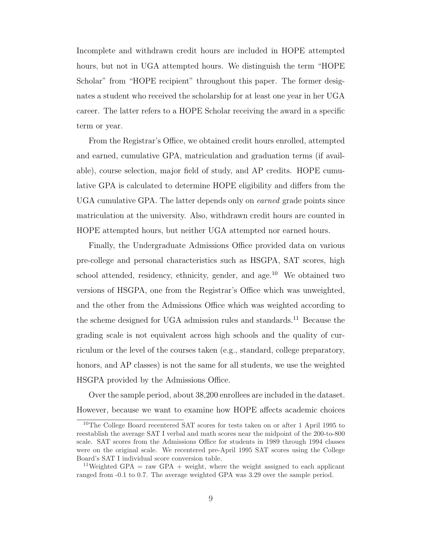Incomplete and withdrawn credit hours are included in HOPE attempted hours, but not in UGA attempted hours. We distinguish the term "HOPE Scholar" from "HOPE recipient" throughout this paper. The former designates a student who received the scholarship for at least one year in her UGA career. The latter refers to a HOPE Scholar receiving the award in a specific term or year.

From the Registrar's Office, we obtained credit hours enrolled, attempted and earned, cumulative GPA, matriculation and graduation terms (if available), course selection, major field of study, and AP credits. HOPE cumulative GPA is calculated to determine HOPE eligibility and differs from the UGA cumulative GPA. The latter depends only on earned grade points since matriculation at the university. Also, withdrawn credit hours are counted in HOPE attempted hours, but neither UGA attempted nor earned hours.

Finally, the Undergraduate Admissions Office provided data on various pre-college and personal characteristics such as HSGPA, SAT scores, high school attended, residency, ethnicity, gender, and age.<sup>10</sup> We obtained two versions of HSGPA, one from the Registrar's Office which was unweighted, and the other from the Admissions Office which was weighted according to the scheme designed for UGA admission rules and standards.<sup>11</sup> Because the grading scale is not equivalent across high schools and the quality of curriculum or the level of the courses taken (e.g., standard, college preparatory, honors, and AP classes) is not the same for all students, we use the weighted HSGPA provided by the Admissions Office.

Over the sample period, about 38,200 enrollees are included in the dataset. However, because we want to examine how HOPE affects academic choices

<sup>10</sup>The College Board recentered SAT scores for tests taken on or after 1 April 1995 to reestablish the average SAT I verbal and math scores near the midpoint of the 200-to-800 scale. SAT scores from the Admissions Office for students in 1989 through 1994 classes were on the original scale. We recentered pre-April 1995 SAT scores using the College Board's SAT I individual score conversion table.

<sup>&</sup>lt;sup>11</sup>Weighted GPA = raw GPA + weight, where the weight assigned to each applicant ranged from -0.1 to 0.7. The average weighted GPA was 3.29 over the sample period.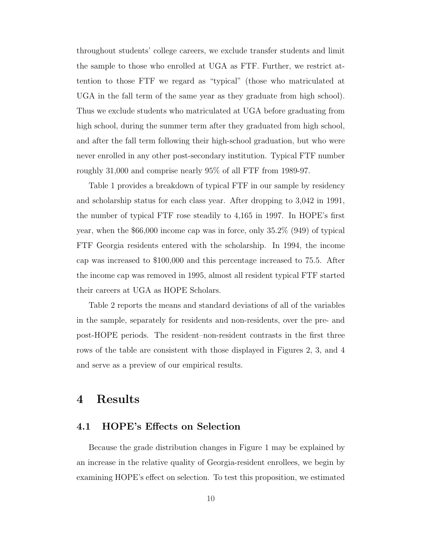throughout students' college careers, we exclude transfer students and limit the sample to those who enrolled at UGA as FTF. Further, we restrict attention to those FTF we regard as "typical" (those who matriculated at UGA in the fall term of the same year as they graduate from high school). Thus we exclude students who matriculated at UGA before graduating from high school, during the summer term after they graduated from high school, and after the fall term following their high-school graduation, but who were never enrolled in any other post-secondary institution. Typical FTF number roughly 31,000 and comprise nearly 95% of all FTF from 1989-97.

Table 1 provides a breakdown of typical FTF in our sample by residency and scholarship status for each class year. After dropping to 3,042 in 1991, the number of typical FTF rose steadily to 4,165 in 1997. In HOPE's first year, when the \$66,000 income cap was in force, only 35.2% (949) of typical FTF Georgia residents entered with the scholarship. In 1994, the income cap was increased to \$100,000 and this percentage increased to 75.5. After the income cap was removed in 1995, almost all resident typical FTF started their careers at UGA as HOPE Scholars.

Table 2 reports the means and standard deviations of all of the variables in the sample, separately for residents and non-residents, over the pre- and post-HOPE periods. The resident–non-resident contrasts in the first three rows of the table are consistent with those displayed in Figures 2, 3, and 4 and serve as a preview of our empirical results.

## 4 Results

#### 4.1 HOPE's Effects on Selection

Because the grade distribution changes in Figure 1 may be explained by an increase in the relative quality of Georgia-resident enrollees, we begin by examining HOPE's effect on selection. To test this proposition, we estimated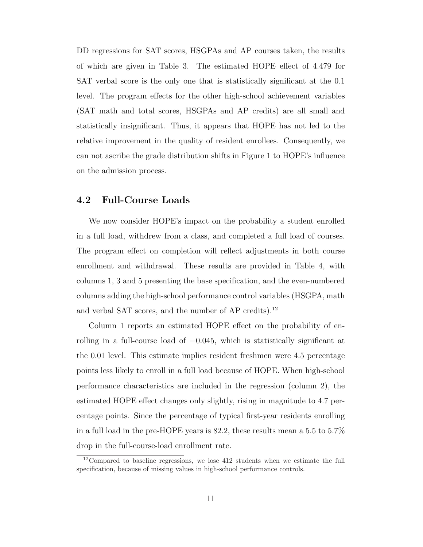DD regressions for SAT scores, HSGPAs and AP courses taken, the results of which are given in Table 3. The estimated HOPE effect of 4.479 for SAT verbal score is the only one that is statistically significant at the 0.1 level. The program effects for the other high-school achievement variables (SAT math and total scores, HSGPAs and AP credits) are all small and statistically insignificant. Thus, it appears that HOPE has not led to the relative improvement in the quality of resident enrollees. Consequently, we can not ascribe the grade distribution shifts in Figure 1 to HOPE's influence on the admission process.

#### 4.2 Full-Course Loads

We now consider HOPE's impact on the probability a student enrolled in a full load, withdrew from a class, and completed a full load of courses. The program effect on completion will reflect adjustments in both course enrollment and withdrawal. These results are provided in Table 4, with columns 1, 3 and 5 presenting the base specification, and the even-numbered columns adding the high-school performance control variables (HSGPA, math and verbal SAT scores, and the number of AP credits).<sup>12</sup>

Column 1 reports an estimated HOPE effect on the probability of enrolling in a full-course load of −0.045, which is statistically significant at the 0.01 level. This estimate implies resident freshmen were 4.5 percentage points less likely to enroll in a full load because of HOPE. When high-school performance characteristics are included in the regression (column 2), the estimated HOPE effect changes only slightly, rising in magnitude to 4.7 percentage points. Since the percentage of typical first-year residents enrolling in a full load in the pre-HOPE years is 82.2, these results mean a 5.5 to 5.7% drop in the full-course-load enrollment rate.

 $12$ Compared to baseline regressions, we lose 412 students when we estimate the full specification, because of missing values in high-school performance controls.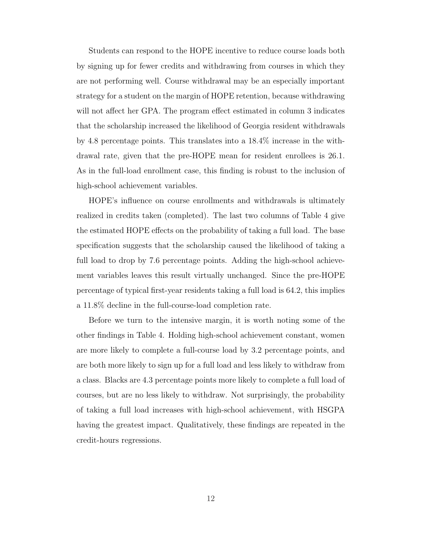Students can respond to the HOPE incentive to reduce course loads both by signing up for fewer credits and withdrawing from courses in which they are not performing well. Course withdrawal may be an especially important strategy for a student on the margin of HOPE retention, because withdrawing will not affect her GPA. The program effect estimated in column 3 indicates that the scholarship increased the likelihood of Georgia resident withdrawals by 4.8 percentage points. This translates into a 18.4% increase in the withdrawal rate, given that the pre-HOPE mean for resident enrollees is 26.1. As in the full-load enrollment case, this finding is robust to the inclusion of high-school achievement variables.

HOPE's influence on course enrollments and withdrawals is ultimately realized in credits taken (completed). The last two columns of Table 4 give the estimated HOPE effects on the probability of taking a full load. The base specification suggests that the scholarship caused the likelihood of taking a full load to drop by 7.6 percentage points. Adding the high-school achievement variables leaves this result virtually unchanged. Since the pre-HOPE percentage of typical first-year residents taking a full load is 64.2, this implies a 11.8% decline in the full-course-load completion rate.

Before we turn to the intensive margin, it is worth noting some of the other findings in Table 4. Holding high-school achievement constant, women are more likely to complete a full-course load by 3.2 percentage points, and are both more likely to sign up for a full load and less likely to withdraw from a class. Blacks are 4.3 percentage points more likely to complete a full load of courses, but are no less likely to withdraw. Not surprisingly, the probability of taking a full load increases with high-school achievement, with HSGPA having the greatest impact. Qualitatively, these findings are repeated in the credit-hours regressions.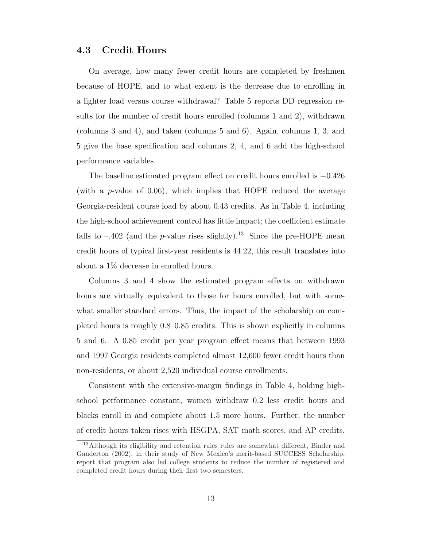#### 4.3 Credit Hours

On average, how many fewer credit hours are completed by freshmen because of HOPE, and to what extent is the decrease due to enrolling in a lighter load versus course withdrawal? Table 5 reports DD regression results for the number of credit hours enrolled (columns 1 and 2), withdrawn (columns 3 and 4), and taken (columns 5 and 6). Again, columns 1, 3, and 5 give the base specification and columns 2, 4, and 6 add the high-school performance variables.

The baseline estimated program effect on credit hours enrolled is −0.426 (with a *p*-value of 0.06), which implies that HOPE reduced the average Georgia-resident course load by about 0.43 credits. As in Table 4, including the high-school achievement control has little impact; the coefficient estimate falls to  $-.402$  (and the *p*-value rises slightly).<sup>13</sup> Since the pre-HOPE mean credit hours of typical first-year residents is 44.22, this result translates into about a 1% decrease in enrolled hours.

Columns 3 and 4 show the estimated program effects on withdrawn hours are virtually equivalent to those for hours enrolled, but with somewhat smaller standard errors. Thus, the impact of the scholarship on completed hours is roughly 0.8–0.85 credits. This is shown explicitly in columns 5 and 6. A 0.85 credit per year program effect means that between 1993 and 1997 Georgia residents completed almost 12,600 fewer credit hours than non-residents, or about 2,520 individual course enrollments.

Consistent with the extensive-margin findings in Table 4, holding highschool performance constant, women withdraw 0.2 less credit hours and blacks enroll in and complete about 1.5 more hours. Further, the number of credit hours taken rises with HSGPA, SAT math scores, and AP credits,

<sup>&</sup>lt;sup>13</sup>Although its eligibility and retention rules rules are somewhat different, Binder and Ganderton (2002), in their study of New Mexico's merit-based SUCCESS Scholarship, report that program also led college students to reduce the number of registered and completed credit hours during their first two semesters.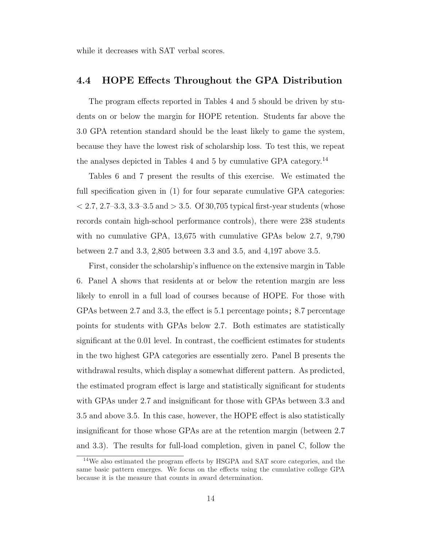while it decreases with SAT verbal scores.

#### 4.4 HOPE Effects Throughout the GPA Distribution

The program effects reported in Tables 4 and 5 should be driven by students on or below the margin for HOPE retention. Students far above the 3.0 GPA retention standard should be the least likely to game the system, because they have the lowest risk of scholarship loss. To test this, we repeat the analyses depicted in Tables 4 and 5 by cumulative GPA category.<sup>14</sup>

Tables 6 and 7 present the results of this exercise. We estimated the full specification given in (1) for four separate cumulative GPA categories:  $< 2.7, 2.7-3.3, 3.3-3.5$  and  $> 3.5$ . Of 30,705 typical first-year students (whose records contain high-school performance controls), there were 238 students with no cumulative GPA, 13,675 with cumulative GPAs below 2.7, 9,790 between 2.7 and 3.3, 2,805 between 3.3 and 3.5, and 4,197 above 3.5.

First, consider the scholarship's influence on the extensive margin in Table 6. Panel A shows that residents at or below the retention margin are less likely to enroll in a full load of courses because of HOPE. For those with GPAs between 2.7 and 3.3, the effect is 5.1 percentage points; 8.7 percentage points for students with GPAs below 2.7. Both estimates are statistically significant at the 0.01 level. In contrast, the coefficient estimates for students in the two highest GPA categories are essentially zero. Panel B presents the withdrawal results, which display a somewhat different pattern. As predicted, the estimated program effect is large and statistically significant for students with GPAs under 2.7 and insignificant for those with GPAs between 3.3 and 3.5 and above 3.5. In this case, however, the HOPE effect is also statistically insignificant for those whose GPAs are at the retention margin (between 2.7 and 3.3). The results for full-load completion, given in panel C, follow the

<sup>14</sup>We also estimated the program effects by HSGPA and SAT score categories, and the same basic pattern emerges. We focus on the effects using the cumulative college GPA because it is the measure that counts in award determination.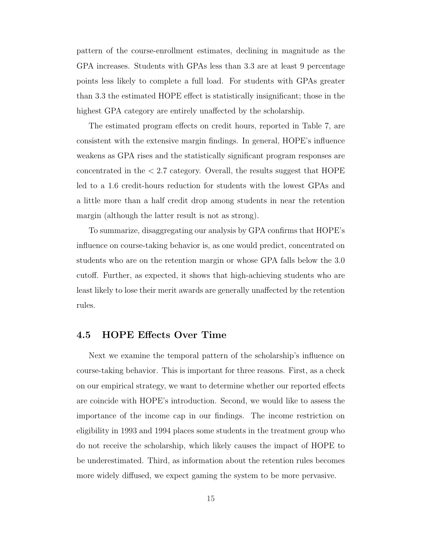pattern of the course-enrollment estimates, declining in magnitude as the GPA increases. Students with GPAs less than 3.3 are at least 9 percentage points less likely to complete a full load. For students with GPAs greater than 3.3 the estimated HOPE effect is statistically insignificant; those in the highest GPA category are entirely unaffected by the scholarship.

The estimated program effects on credit hours, reported in Table 7, are consistent with the extensive margin findings. In general, HOPE's influence weakens as GPA rises and the statistically significant program responses are concentrated in the < 2.7 category. Overall, the results suggest that HOPE led to a 1.6 credit-hours reduction for students with the lowest GPAs and a little more than a half credit drop among students in near the retention margin (although the latter result is not as strong).

To summarize, disaggregating our analysis by GPA confirms that HOPE's influence on course-taking behavior is, as one would predict, concentrated on students who are on the retention margin or whose GPA falls below the 3.0 cutoff. Further, as expected, it shows that high-achieving students who are least likely to lose their merit awards are generally unaffected by the retention rules.

#### 4.5 HOPE Effects Over Time

Next we examine the temporal pattern of the scholarship's influence on course-taking behavior. This is important for three reasons. First, as a check on our empirical strategy, we want to determine whether our reported effects are coincide with HOPE's introduction. Second, we would like to assess the importance of the income cap in our findings. The income restriction on eligibility in 1993 and 1994 places some students in the treatment group who do not receive the scholarship, which likely causes the impact of HOPE to be underestimated. Third, as information about the retention rules becomes more widely diffused, we expect gaming the system to be more pervasive.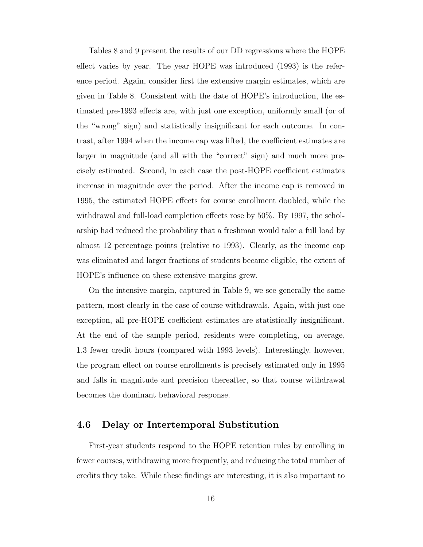Tables 8 and 9 present the results of our DD regressions where the HOPE effect varies by year. The year HOPE was introduced (1993) is the reference period. Again, consider first the extensive margin estimates, which are given in Table 8. Consistent with the date of HOPE's introduction, the estimated pre-1993 effects are, with just one exception, uniformly small (or of the "wrong" sign) and statistically insignificant for each outcome. In contrast, after 1994 when the income cap was lifted, the coefficient estimates are larger in magnitude (and all with the "correct" sign) and much more precisely estimated. Second, in each case the post-HOPE coefficient estimates increase in magnitude over the period. After the income cap is removed in 1995, the estimated HOPE effects for course enrollment doubled, while the withdrawal and full-load completion effects rose by 50%. By 1997, the scholarship had reduced the probability that a freshman would take a full load by almost 12 percentage points (relative to 1993). Clearly, as the income cap was eliminated and larger fractions of students became eligible, the extent of HOPE's influence on these extensive margins grew.

On the intensive margin, captured in Table 9, we see generally the same pattern, most clearly in the case of course withdrawals. Again, with just one exception, all pre-HOPE coefficient estimates are statistically insignificant. At the end of the sample period, residents were completing, on average, 1.3 fewer credit hours (compared with 1993 levels). Interestingly, however, the program effect on course enrollments is precisely estimated only in 1995 and falls in magnitude and precision thereafter, so that course withdrawal becomes the dominant behavioral response.

#### 4.6 Delay or Intertemporal Substitution

First-year students respond to the HOPE retention rules by enrolling in fewer courses, withdrawing more frequently, and reducing the total number of credits they take. While these findings are interesting, it is also important to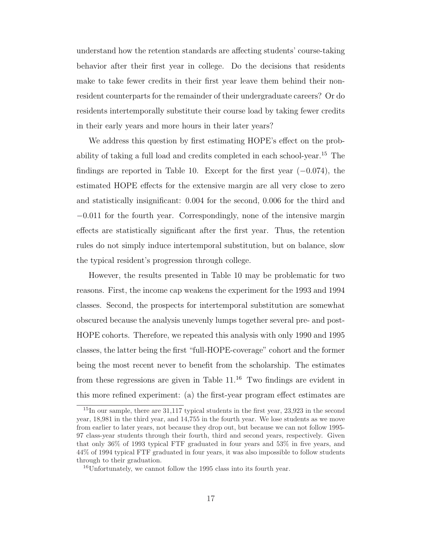understand how the retention standards are affecting students' course-taking behavior after their first year in college. Do the decisions that residents make to take fewer credits in their first year leave them behind their nonresident counterparts for the remainder of their undergraduate careers? Or do residents intertemporally substitute their course load by taking fewer credits in their early years and more hours in their later years?

We address this question by first estimating HOPE's effect on the probability of taking a full load and credits completed in each school-year.<sup>15</sup> The findings are reported in Table 10. Except for the first year (−0.074), the estimated HOPE effects for the extensive margin are all very close to zero and statistically insignificant: 0.004 for the second, 0.006 for the third and −0.011 for the fourth year. Correspondingly, none of the intensive margin effects are statistically significant after the first year. Thus, the retention rules do not simply induce intertemporal substitution, but on balance, slow the typical resident's progression through college.

However, the results presented in Table 10 may be problematic for two reasons. First, the income cap weakens the experiment for the 1993 and 1994 classes. Second, the prospects for intertemporal substitution are somewhat obscured because the analysis unevenly lumps together several pre- and post-HOPE cohorts. Therefore, we repeated this analysis with only 1990 and 1995 classes, the latter being the first "full-HOPE-coverage" cohort and the former being the most recent never to benefit from the scholarship. The estimates from these regressions are given in Table  $11^{16}$  Two findings are evident in this more refined experiment: (a) the first-year program effect estimates are

 $^{15}$ In our sample, there are 31,117 typical students in the first year, 23,923 in the second year, 18,981 in the third year, and 14,755 in the fourth year. We lose students as we move from earlier to later years, not because they drop out, but because we can not follow 1995- 97 class-year students through their fourth, third and second years, respectively. Given that only 36% of 1993 typical FTF graduated in four years and 53% in five years, and 44% of 1994 typical FTF graduated in four years, it was also impossible to follow students through to their graduation.

<sup>16</sup>Unfortunately, we cannot follow the 1995 class into its fourth year.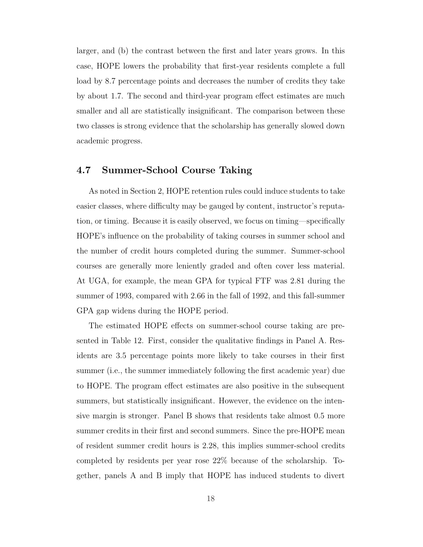larger, and (b) the contrast between the first and later years grows. In this case, HOPE lowers the probability that first-year residents complete a full load by 8.7 percentage points and decreases the number of credits they take by about 1.7. The second and third-year program effect estimates are much smaller and all are statistically insignificant. The comparison between these two classes is strong evidence that the scholarship has generally slowed down academic progress.

#### 4.7 Summer-School Course Taking

As noted in Section 2, HOPE retention rules could induce students to take easier classes, where difficulty may be gauged by content, instructor's reputation, or timing. Because it is easily observed, we focus on timing—specifically HOPE's influence on the probability of taking courses in summer school and the number of credit hours completed during the summer. Summer-school courses are generally more leniently graded and often cover less material. At UGA, for example, the mean GPA for typical FTF was 2.81 during the summer of 1993, compared with 2.66 in the fall of 1992, and this fall-summer GPA gap widens during the HOPE period.

The estimated HOPE effects on summer-school course taking are presented in Table 12. First, consider the qualitative findings in Panel A. Residents are 3.5 percentage points more likely to take courses in their first summer (i.e., the summer immediately following the first academic year) due to HOPE. The program effect estimates are also positive in the subsequent summers, but statistically insignificant. However, the evidence on the intensive margin is stronger. Panel B shows that residents take almost 0.5 more summer credits in their first and second summers. Since the pre-HOPE mean of resident summer credit hours is 2.28, this implies summer-school credits completed by residents per year rose 22% because of the scholarship. Together, panels A and B imply that HOPE has induced students to divert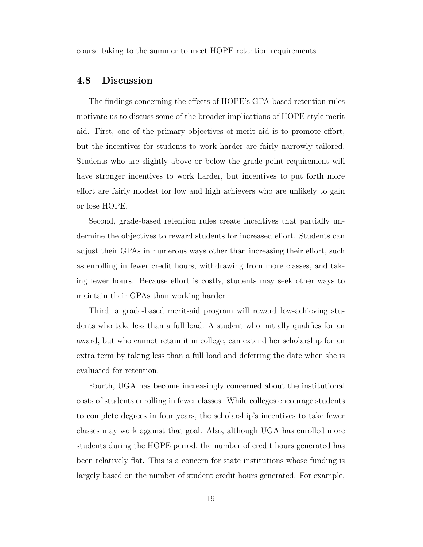course taking to the summer to meet HOPE retention requirements.

#### 4.8 Discussion

The findings concerning the effects of HOPE's GPA-based retention rules motivate us to discuss some of the broader implications of HOPE-style merit aid. First, one of the primary objectives of merit aid is to promote effort, but the incentives for students to work harder are fairly narrowly tailored. Students who are slightly above or below the grade-point requirement will have stronger incentives to work harder, but incentives to put forth more effort are fairly modest for low and high achievers who are unlikely to gain or lose HOPE.

Second, grade-based retention rules create incentives that partially undermine the objectives to reward students for increased effort. Students can adjust their GPAs in numerous ways other than increasing their effort, such as enrolling in fewer credit hours, withdrawing from more classes, and taking fewer hours. Because effort is costly, students may seek other ways to maintain their GPAs than working harder.

Third, a grade-based merit-aid program will reward low-achieving students who take less than a full load. A student who initially qualifies for an award, but who cannot retain it in college, can extend her scholarship for an extra term by taking less than a full load and deferring the date when she is evaluated for retention.

Fourth, UGA has become increasingly concerned about the institutional costs of students enrolling in fewer classes. While colleges encourage students to complete degrees in four years, the scholarship's incentives to take fewer classes may work against that goal. Also, although UGA has enrolled more students during the HOPE period, the number of credit hours generated has been relatively flat. This is a concern for state institutions whose funding is largely based on the number of student credit hours generated. For example,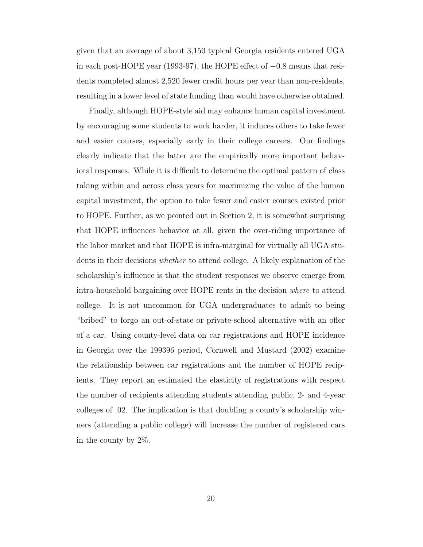given that an average of about 3,150 typical Georgia residents entered UGA in each post-HOPE year (1993-97), the HOPE effect of −0.8 means that residents completed almost 2,520 fewer credit hours per year than non-residents, resulting in a lower level of state funding than would have otherwise obtained.

Finally, although HOPE-style aid may enhance human capital investment by encouraging some students to work harder, it induces others to take fewer and easier courses, especially early in their college careers. Our findings clearly indicate that the latter are the empirically more important behavioral responses. While it is difficult to determine the optimal pattern of class taking within and across class years for maximizing the value of the human capital investment, the option to take fewer and easier courses existed prior to HOPE. Further, as we pointed out in Section 2, it is somewhat surprising that HOPE influences behavior at all, given the over-riding importance of the labor market and that HOPE is infra-marginal for virtually all UGA students in their decisions whether to attend college. A likely explanation of the scholarship's influence is that the student responses we observe emerge from intra-household bargaining over HOPE rents in the decision where to attend college. It is not uncommon for UGA undergraduates to admit to being "bribed" to forgo an out-of-state or private-school alternative with an offer of a car. Using county-level data on car registrations and HOPE incidence in Georgia over the 199396 period, Cornwell and Mustard (2002) examine the relationship between car registrations and the number of HOPE recipients. They report an estimated the elasticity of registrations with respect the number of recipients attending students attending public, 2- and 4-year colleges of .02. The implication is that doubling a county's scholarship winners (attending a public college) will increase the number of registered cars in the county by 2%.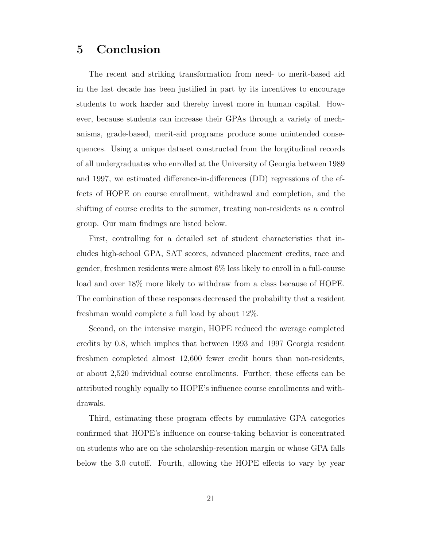## 5 Conclusion

The recent and striking transformation from need- to merit-based aid in the last decade has been justified in part by its incentives to encourage students to work harder and thereby invest more in human capital. However, because students can increase their GPAs through a variety of mechanisms, grade-based, merit-aid programs produce some unintended consequences. Using a unique dataset constructed from the longitudinal records of all undergraduates who enrolled at the University of Georgia between 1989 and 1997, we estimated difference-in-differences (DD) regressions of the effects of HOPE on course enrollment, withdrawal and completion, and the shifting of course credits to the summer, treating non-residents as a control group. Our main findings are listed below.

First, controlling for a detailed set of student characteristics that includes high-school GPA, SAT scores, advanced placement credits, race and gender, freshmen residents were almost 6% less likely to enroll in a full-course load and over 18% more likely to withdraw from a class because of HOPE. The combination of these responses decreased the probability that a resident freshman would complete a full load by about 12%.

Second, on the intensive margin, HOPE reduced the average completed credits by 0.8, which implies that between 1993 and 1997 Georgia resident freshmen completed almost 12,600 fewer credit hours than non-residents, or about 2,520 individual course enrollments. Further, these effects can be attributed roughly equally to HOPE's influence course enrollments and withdrawals.

Third, estimating these program effects by cumulative GPA categories confirmed that HOPE's influence on course-taking behavior is concentrated on students who are on the scholarship-retention margin or whose GPA falls below the 3.0 cutoff. Fourth, allowing the HOPE effects to vary by year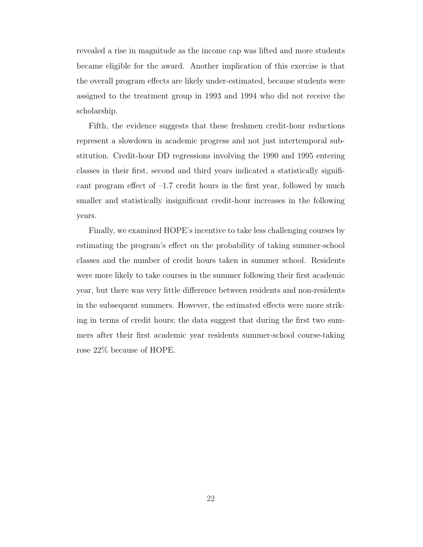revealed a rise in magnitude as the income cap was lifted and more students became eligible for the award. Another implication of this exercise is that the overall program effects are likely under-estimated, because students were assigned to the treatment group in 1993 and 1994 who did not receive the scholarship.

Fifth, the evidence suggests that these freshmen credit-hour reductions represent a slowdown in academic progress and not just intertemporal substitution. Credit-hour DD regressions involving the 1990 and 1995 entering classes in their first, second and third years indicated a statistically significant program effect of  $-1.7$  credit hours in the first year, followed by much smaller and statistically insignificant credit-hour increases in the following years.

Finally, we examined HOPE's incentive to take less challenging courses by estimating the program's effect on the probability of taking summer-school classes and the number of credit hours taken in summer school. Residents were more likely to take courses in the summer following their first academic year, but there was very little difference between residents and non-residents in the subsequent summers. However, the estimated effects were more striking in terms of credit hours; the data suggest that during the first two summers after their first academic year residents summer-school course-taking rose 22% because of HOPE.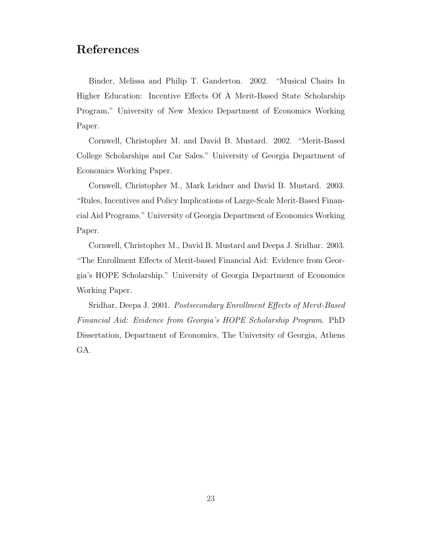## References

Binder, Melissa and Philip T. Ganderton. 2002. "Musical Chairs In Higher Education: Incentive Effects Of A Merit-Based State Scholarship Program," University of New Mexico Department of Economics Working Paper.

Cornwell, Christopher M. and David B. Mustard. 2002. "Merit-Based College Scholarships and Car Sales." University of Georgia Department of Economics Working Paper.

Cornwell, Christopher M., Mark Leidner and David B. Mustard. 2003. "Rules, Incentives and Policy Implications of Large-Scale Merit-Based Financial Aid Programs." University of Georgia Department of Economics Working Paper.

Cornwell, Christopher M., David B. Mustard and Deepa J. Sridhar. 2003. "The Enrollment Effects of Merit-based Financial Aid: Evidence from Georgia's HOPE Scholarship." University of Georgia Department of Economics Working Paper.

Sridhar, Deepa J. 2001. Postsecondary Enrollment Effects of Merit-Based Financial Aid: Evidence from Georgia's HOPE Scholarship Program. PhD Dissertation, Department of Economics, The University of Georgia, Athens GA.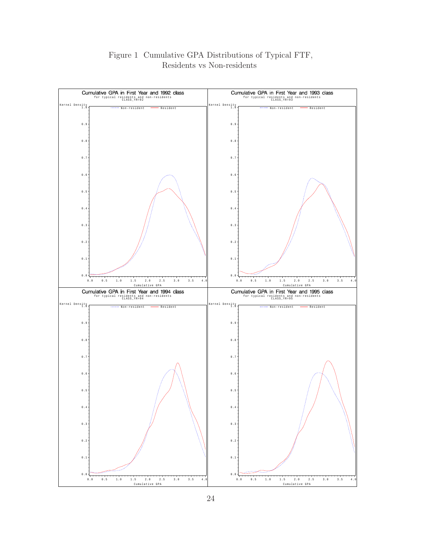

#### Figure 1 Cumulative GPA Distributions of Typical FTF, Residents vs Non-residents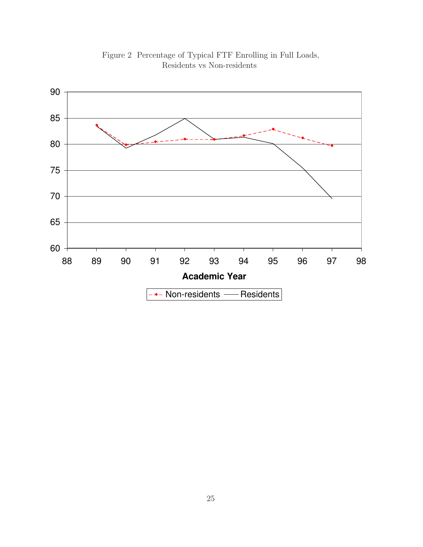

Figure 2 Percentage of Typical FTF Enrolling in Full Loads, Residents vs Non-residents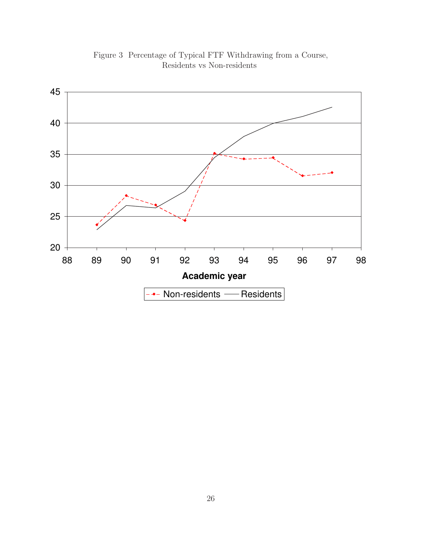

Figure 3 Percentage of Typical FTF Withdrawing from a Course, Residents vs Non-residents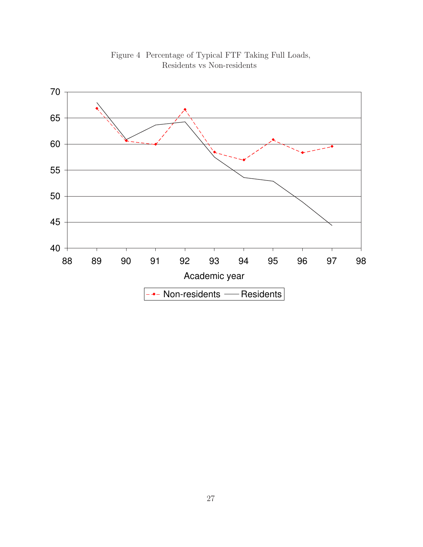

Figure 4 Percentage of Typical FTF Taking Full Loads, Residents vs Non-residents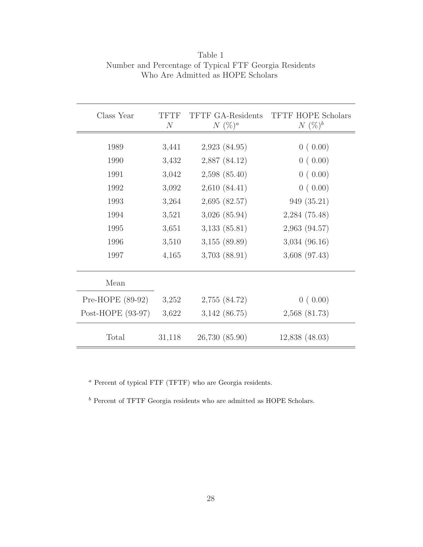| Class Year        | TFTF<br>$\mathcal N$ | <b>TFTF GA-Residents</b><br>$N(\%)^a$ | <b>TFTF HOPE Scholars</b><br>$N(\%)^b$ |
|-------------------|----------------------|---------------------------------------|----------------------------------------|
|                   |                      |                                       |                                        |
| 1989              | 3,441                | 2,923(84.95)                          | 0(0.00)                                |
| 1990              | 3,432                | 2,887 (84.12)                         | 0(0.00)                                |
| 1991              | 3,042                | 2,598(85.40)                          | 0(0.00)                                |
| 1992              | 3,092                | 2,610(84.41)                          | 0(0.00)                                |
| 1993              | 3,264                | 2,695(82.57)                          | 949 (35.21)                            |
| 1994              | 3,521                | $3,026$ $(85.94)$                     | 2,284(75.48)                           |
| 1995              | 3,651                | $3,133$ $(85.81)$                     | $2,963$ $(94.57)$                      |
| 1996              | 3,510                | $3,155$ (89.89)                       | $3,034$ (96.16)                        |
| 1997              | 4,165                | $3,703$ $(88.91)$                     | $3,608$ $(97.43)$                      |
| Mean              |                      |                                       |                                        |
| Pre-HOPE (89-92)  | 3,252                | 2,755 (84.72)                         | 0(0.00)                                |
| Post-HOPE (93-97) | 3,622                | $3,142$ (86.75)                       | $2,568$ $(81.73)$                      |
| Total             | 31,118               | 26,730 (85.90)                        | $12,838$ $(48.03)$                     |

Table 1 Number and Percentage of Typical FTF Georgia Residents Who Are Admitted as HOPE Scholars

 $\,^a$  Percent of typical FTF (TFTF) who are Georgia residents.

 $\rm ^{b}$  Percent of TFTF Georgia residents who are admitted as HOPE Scholars.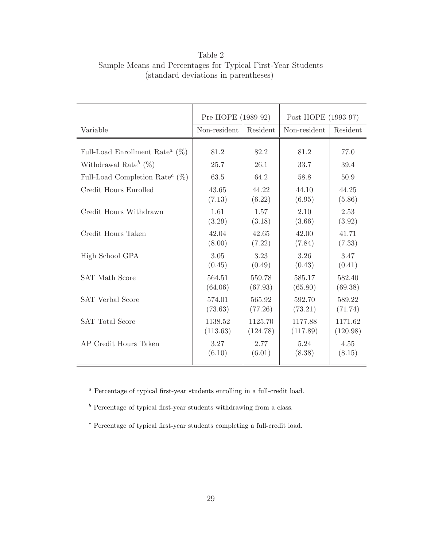|                                                         | Pre-HOPE (1989-92) |          | Post-HOPE (1993-97) |          |
|---------------------------------------------------------|--------------------|----------|---------------------|----------|
| Variable                                                | Non-resident       | Resident | Non-resident        | Resident |
| Full-Load Enrollment Rate <sup><math>a</math></sup> (%) | 81.2               | 82.2     | 81.2                | 77.0     |
| Withdrawal Rate <sup>b</sup> $(\%)$                     | 25.7               | 26.1     | 33.7                | 39.4     |
| Full-Load Completion Rate <sup><math>c</math></sup> (%) | 63.5               | 64.2     | 58.8                | 50.9     |
| Credit Hours Enrolled                                   | 43.65              | 44.22    | 44.10               | 44.25    |
|                                                         | (7.13)             | (6.22)   | (6.95)              | (5.86)   |
| Credit Hours Withdrawn                                  | 1.61               | 1.57     | 2.10                | 2.53     |
|                                                         | (3.29)             | (3.18)   | (3.66)              | (3.92)   |
| Credit Hours Taken                                      | 42.04              | 42.65    | 42.00               | 41.71    |
|                                                         | (8.00)             | (7.22)   | (7.84)              | (7.33)   |
| High School GPA                                         | 3.05               | 3.23     | 3.26                | 3.47     |
|                                                         | (0.45)             | (0.49)   | (0.43)              | (0.41)   |
| <b>SAT Math Score</b>                                   | 564.51             | 559.78   | 585.17              | 582.40   |
|                                                         | (64.06)            | (67.93)  | (65.80)             | (69.38)  |
| <b>SAT Verbal Score</b>                                 | 574.01             | 565.92   | 592.70              | 589.22   |
|                                                         | (73.63)            | (77.26)  | (73.21)             | (71.74)  |
| <b>SAT Total Score</b>                                  | 1138.52            | 1125.70  | 1177.88             | 1171.62  |
|                                                         | (113.63)           | (124.78) | (117.89)            | (120.98) |
| AP Credit Hours Taken                                   | 3.27               | 2.77     | 5.24                | 4.55     |
|                                                         | (6.10)             | (6.01)   | (8.38)              | (8.15)   |

Table 2 Sample Means and Percentages for Typical First-Year Students (standard deviations in parentheses)

<sup>a</sup> Percentage of typical first-year students enrolling in a full-credit load.

 $<sup>b</sup>$  Percentage of typical first-year students withdrawing from a class.</sup>

<sup>c</sup> Percentage of typical first-year students completing a full-credit load.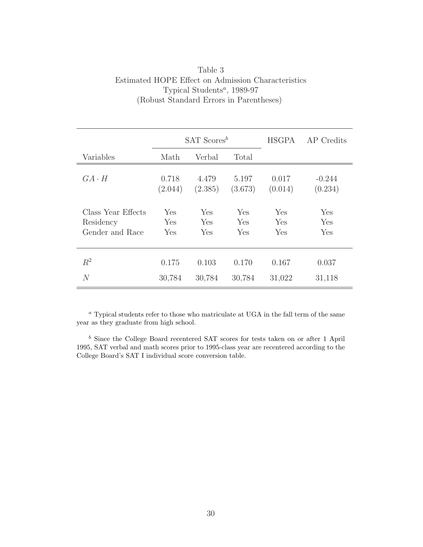| Table 3                                              |
|------------------------------------------------------|
| Estimated HOPE Effect on Admission Characteristics   |
| Typical Students <sup><math>a</math></sup> , 1989-97 |
| (Robust Standard Errors in Parentheses)              |

|                    | $SAT$ Scores <sup>b</sup> |         |         | <b>HSGPA</b> | AP Credits |
|--------------------|---------------------------|---------|---------|--------------|------------|
| Variables          | Math                      | Verbal  | Total   |              |            |
| $GA \cdot H$       | 0.718                     | 4.479   | 5.197   | 0.017        | $-0.244$   |
|                    | (2.044)                   | (2.385) | (3.673) | (0.014)      | (0.234)    |
| Class Year Effects | Yes                       | Yes     | Yes     | Yes          | Yes        |
| Residency          | Yes                       | Yes     | Yes     | Yes          | Yes        |
| Gender and Race    | Yes                       | Yes     | Yes     | Yes          | Yes        |
| $R^2$              | 0.175                     | 0.103   | 0.170   | 0.167        | 0.037      |
| $\overline{N}$     | 30,784                    | 30,784  | 30,784  | 31,022       | 31,118     |

<sup>a</sup> Typical students refer to those who matriculate at UGA in the fall term of the same year as they graduate from high school.

 $<sup>b</sup>$  Since the College Board recentered SAT scores for tests taken on or after 1 April</sup> 1995, SAT verbal and math scores prior to 1995-class year are recentered according to the College Board's SAT I individual score conversion table.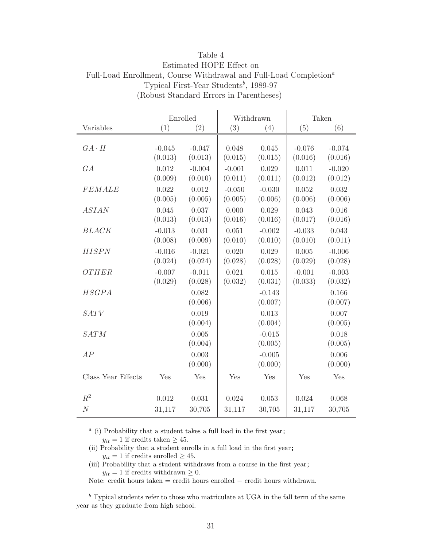|                    |          | Enrolled | Withdrawn |          |          | Taken    |
|--------------------|----------|----------|-----------|----------|----------|----------|
| Variables          | (1)      | (2)      | (3)       | (4)      | (5)      | (6)      |
|                    |          |          |           |          |          |          |
| $GA \cdot H$       | $-0.045$ | $-0.047$ | 0.048     | 0.045    | $-0.076$ | $-0.074$ |
|                    | (0.013)  | (0.013)  | (0.015)   | (0.015)  | (0.016)  | (0.016)  |
| GA                 | 0.012    | $-0.004$ | $-0.001$  | 0.029    | 0.011    | $-0.020$ |
|                    | (0.009)  | (0.010)  | (0.011)   | (0.011)  | (0.012)  | (0.012)  |
| <b>FEMALE</b>      | 0.022    | 0.012    | $-0.050$  | $-0.030$ | 0.052    | 0.032    |
|                    | (0.005)  | (0.005)  | (0.005)   | (0.006)  | (0.006)  | (0.006)  |
| <b>ASIAN</b>       | 0.045    | 0.037    | 0.000     | 0.029    | 0.043    | 0.016    |
|                    | (0.013)  | (0.013)  | (0.016)   | (0.016)  | (0.017)  | (0.016)  |
| <b>BLACK</b>       | $-0.013$ | 0.031    | 0.051     | $-0.002$ | $-0.033$ | 0.043    |
|                    | (0.008)  | (0.009)  | (0.010)   | (0.010)  | (0.010)  | (0.011)  |
| <b>HISPN</b>       | $-0.016$ | $-0.021$ | 0.020     | 0.029    | 0.005    | $-0.006$ |
|                    | (0.024)  | (0.024)  | (0.028)   | (0.028)  | (0.029)  | (0.028)  |
| <b>OTHER</b>       | $-0.007$ | $-0.011$ | 0.021     | 0.015    | $-0.001$ | $-0.003$ |
|                    | (0.029)  | (0.028)  | (0.032)   | (0.031)  | (0.033)  | (0.032)  |
| <b>HSGPA</b>       |          | 0.082    |           | $-0.143$ |          | 0.166    |
|                    |          | (0.006)  |           | (0.007)  |          | (0.007)  |
| <b>SATV</b>        |          | 0.019    |           | 0.013    |          | 0.007    |
|                    |          | (0.004)  |           | (0.004)  |          | (0.005)  |
| <b>SATM</b>        |          | 0.005    |           | $-0.015$ |          | 0.018    |
|                    |          | (0.004)  |           | (0.005)  |          | (0.005)  |
| AP                 |          | 0.003    |           | $-0.005$ |          | 0.006    |
|                    |          | (0.000)  |           | (0.000)  |          | (0.000)  |
| Class Year Effects | Yes      | Yes      | Yes       | Yes      | Yes      | Yes      |
| $R^2$              | 0.012    | 0.031    | 0.024     | 0.053    | 0.024    | 0.068    |
| $\cal N$           | 31,117   | 30,705   | 31,117    | 30,705   | 31,117   | 30,705   |
|                    |          |          |           |          |          |          |

Table 4 Estimated HOPE Effect on Full-Load Enrollment, Course Withdrawal and Full-Load Completion<sup>a</sup> Typical First-Year Students<sup>b</sup>, 1989-97 (Robust Standard Errors in Parentheses)

 $a$  (i) Probability that a student takes a full load in the first year;

 $y_{it} = 1$  if credits taken  $\geq 45$ .

- (ii) Probability that a student enrolls in a full load in the first year;  $y_{it} = 1$  if credits enrolled  $\geq 45$ .
- (iii) Probability that a student withdraws from a course in the first year;  $y_{it} = 1$  if credits withdrawn  $\geq 0$ .

Note: credit hours taken = credit hours enrolled − credit hours withdrawn.

 $\real^b$  Typical students refer to those who matriculate at UGA in the fall term of the same year as they graduate from high school.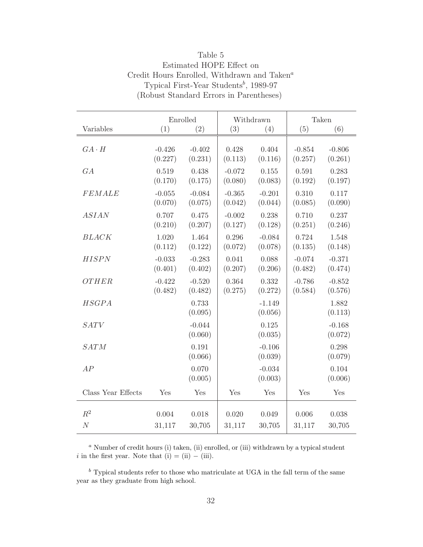|                    |                     | Enrolled            | Withdrawn           |                     |                     | Taken               |
|--------------------|---------------------|---------------------|---------------------|---------------------|---------------------|---------------------|
| Variables          | (1)                 | (2)                 | (3)                 | (4)                 | (5)                 | (6)                 |
| $GA \cdot H$       | $-0.426$<br>(0.227) | $-0.402$<br>(0.231) | 0.428<br>(0.113)    | 0.404<br>(0.116)    | $-0.854$<br>(0.257) | $-0.806$<br>(0.261) |
| GA                 | 0.519<br>(0.170)    | 0.438<br>(0.175)    | $-0.072$<br>(0.080) | 0.155<br>(0.083)    | 0.591<br>(0.192)    | 0.283<br>(0.197)    |
| <b>FEMALE</b>      | $-0.055$<br>(0.070) | $-0.084$<br>(0.075) | $-0.365$<br>(0.042) | $-0.201$<br>(0.044) | 0.310<br>(0.085)    | 0.117<br>(0.090)    |
| <b>ASIAN</b>       | 0.707<br>(0.210)    | 0.475<br>(0.207)    | $-0.002$<br>(0.127) | 0.238<br>(0.128)    | 0.710<br>(0.251)    | 0.237<br>(0.246)    |
| <b>BLACK</b>       | 1.020<br>(0.112)    | 1.464<br>(0.122)    | 0.296<br>(0.072)    | $-0.084$<br>(0.078) | 0.724<br>(0.135)    | 1.548<br>(0.148)    |
| <b>HISPN</b>       | $-0.033$<br>(0.401) | $-0.283$<br>(0.402) | 0.041<br>(0.207)    | 0.088<br>(0.206)    | $-0.074$<br>(0.482) | $-0.371$<br>(0.474) |
| OTHER              | $-0.422$<br>(0.482) | $-0.520$<br>(0.482) | 0.364<br>(0.275)    | 0.332<br>(0.272)    | $-0.786$<br>(0.584) | $-0.852$<br>(0.576) |
| <b>HSGPA</b>       |                     | 0.733<br>(0.095)    |                     | $-1.149$<br>(0.056) |                     | 1.882<br>(0.113)    |
| SATV               |                     | $-0.044$<br>(0.060) |                     | 0.125<br>(0.035)    |                     | $-0.168$<br>(0.072) |
| <b>SATM</b>        |                     | 0.191<br>(0.066)    |                     | $-0.106$<br>(0.039) |                     | 0.298<br>(0.079)    |
| AP                 |                     | 0.070<br>(0.005)    |                     | $-0.034$<br>(0.003) |                     | 0.104<br>(0.006)    |
| Class Year Effects | Yes                 | Yes                 | Yes                 | Yes                 | Yes                 | Yes                 |
| $R^2$              | 0.004               | 0.018               | 0.020               | 0.049               | 0.006               | 0.038               |
| $\cal N$           | 31,117              | 30,705              | 31,117              | 30,705              | 31,117              | 30,705              |

Table 5 Estimated HOPE Effect on Credit Hours Enrolled, Withdrawn and Taken<sup> $a$ </sup> Typical First-Year Students<sup>b</sup>, 1989-97 (Robust Standard Errors in Parentheses)

<sup>a</sup> Number of credit hours (i) taken, (ii) enrolled, or (iii) withdrawn by a typical student i in the first year. Note that (i) = (ii) – (iii).

 $\rm ^b$  Typical students refer to those who matriculate at UGA in the fall term of the same year as they graduate from high school.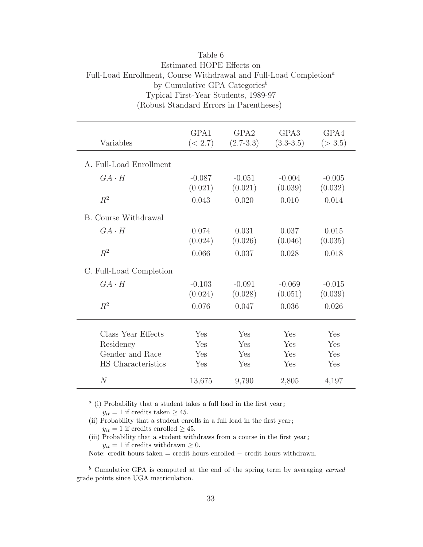|                             |                     | Typical First-Year Students, 1989-97<br>(Robust Standard Errors in Parentheses) |                       |                     |
|-----------------------------|---------------------|---------------------------------------------------------------------------------|-----------------------|---------------------|
| Variables                   | GPA1<br>(< 2.7)     | GPA <sub>2</sub><br>$(2.7-3.3)$                                                 | GPA3<br>$(3.3 - 3.5)$ | GPA4<br>(>3.5)      |
| A. Full-Load Enrollment     |                     |                                                                                 |                       |                     |
| $GA \cdot H$                | $-0.087$<br>(0.021) | $-0.051$<br>(0.021)                                                             | $-0.004$<br>(0.039)   | $-0.005$<br>(0.032) |
| $R^2$                       | 0.043               | 0.020                                                                           | 0.010                 | 0.014               |
| <b>B.</b> Course Withdrawal |                     |                                                                                 |                       |                     |
| $GA \cdot H$                | 0.074<br>(0.024)    | 0.031<br>(0.026)                                                                | 0.037<br>(0.046)      | 0.015<br>(0.035)    |
| $R^2$                       | 0.066               | 0.037                                                                           | 0.028                 | 0.018               |
| C. Full-Load Completion     |                     |                                                                                 |                       |                     |
| $GA \cdot H$                | $-0.103$<br>(0.024) | $-0.091$<br>(0.028)                                                             | $-0.069$<br>(0.051)   | $-0.015$<br>(0.039) |
| $R^2$                       | 0.076               | 0.047                                                                           | 0.036                 | 0.026               |
| Class Year Effects          | Yes                 | Yes                                                                             | Yes                   | Yes                 |
| Residency                   | Yes                 | Yes                                                                             | Yes                   | Yes                 |
| Gender and Race             | Yes                 | Yes                                                                             | Yes                   | Yes                 |
| HS Characteristics          | Yes                 | Yes                                                                             | Yes                   | Yes                 |
| N                           | 13,675              | 9,790                                                                           | 2,805                 | 4,197               |

## Table 6 Estimated HOPE Effects on Full-Load Enrollment, Course Withdrawal and Full-Load Completion<sup> $a$ </sup> by Cumulative GPA Categories<sup>b</sup> Typical First-Year Students, 1989-97

 $a$  (i) Probability that a student takes a full load in the first year;

 $y_{it} = 1$  if credits taken  $\geq 45$ .

(ii) Probability that a student enrolls in a full load in the first year;  $y_{it} = 1$  if credits enrolled  $\geq 45$ .

(iii) Probability that a student withdraws from a course in the first year;  $y_{it} = 1$  if credits withdrawn  $\geq 0$ .

Note: credit hours taken = credit hours enrolled − credit hours withdrawn.

 $<sup>b</sup>$  Cumulative GPA is computed at the end of the spring term by averaging *earned*</sup> grade points since UGA matriculation.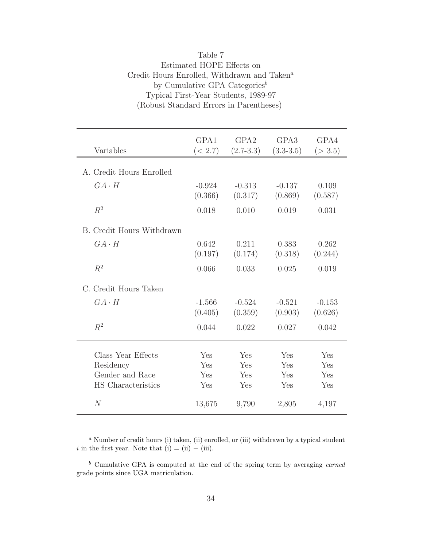| Variables                                                                | GPA1<br>(< 2.7)          | GPA <sub>2</sub><br>$(2.7-3.3)$ | GPA3<br>$(3.3-3.5)$      | GPA4<br>(>3.5)           |
|--------------------------------------------------------------------------|--------------------------|---------------------------------|--------------------------|--------------------------|
| A. Credit Hours Enrolled                                                 |                          |                                 |                          |                          |
| $GA \cdot H$                                                             | $-0.924$<br>(0.366)      | $-0.313$<br>(0.317)             | $-0.137$<br>(0.869)      | 0.109<br>(0.587)         |
| $R^2$                                                                    | 0.018                    | 0.010                           | 0.019                    | 0.031                    |
| B. Credit Hours Withdrawn                                                |                          |                                 |                          |                          |
| $GA \cdot H$                                                             | 0.642<br>(0.197)         | 0.211<br>(0.174)                | 0.383<br>(0.318)         | 0.262<br>(0.244)         |
| $R^2$                                                                    | 0.066                    | 0.033                           | 0.025                    | 0.019                    |
| C. Credit Hours Taken                                                    |                          |                                 |                          |                          |
| $GA \cdot H$                                                             | $-1.566$<br>(0.405)      | $-0.524$<br>(0.359)             | $-0.521$<br>(0.903)      | $-0.153$<br>(0.626)      |
| $R^2$                                                                    | 0.044                    | 0.022                           | 0.027                    | 0.042                    |
| Class Year Effects<br>Residency<br>Gender and Race<br>HS Characteristics | Yes<br>Yes<br>Yes<br>Yes | Yes<br>Yes<br>Yes<br>Yes        | Yes<br>Yes<br>Yes<br>Yes | Yes<br>Yes<br>Yes<br>Yes |
| N                                                                        | 13,675                   | 9,790                           | 2,805                    | 4,197                    |

| Table 7                                                 |
|---------------------------------------------------------|
| Estimated HOPE Effects on                               |
| Credit Hours Enrolled, Withdrawn and Taken <sup>a</sup> |
| by Cumulative GPA Categories <sup>b</sup>               |
| Typical First-Year Students, 1989-97                    |
| (Robust Standard Errors in Parentheses)                 |

 $a$  Number of credit hours (i) taken, (ii) enrolled, or (iii) withdrawn by a typical student i in the first year. Note that  $(i) = (ii) - (iii)$ .

 $<sup>b</sup>$  Cumulative GPA is computed at the end of the spring term by averaging *earned*</sup> grade points since UGA matriculation.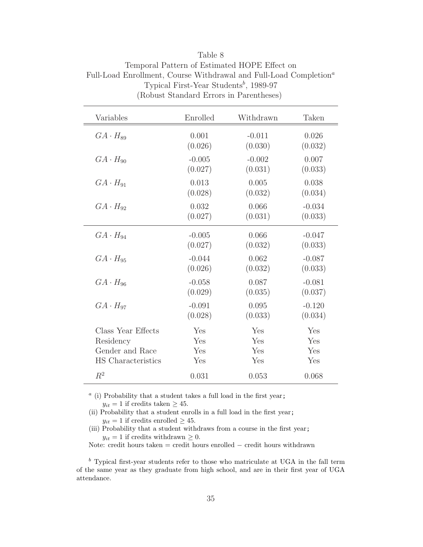| Variables                 | Enrolled | Withdrawn | Taken    |
|---------------------------|----------|-----------|----------|
| $GA \cdot H_{89}$         | 0.001    | $-0.011$  | 0.026    |
|                           | (0.026)  | (0.030)   | (0.032)  |
| $GA \cdot H_{90}$         | $-0.005$ | $-0.002$  | 0.007    |
|                           | (0.027)  | (0.031)   | (0.033)  |
| $GA \cdot H_{91}$         | 0.013    | 0.005     | 0.038    |
|                           | (0.028)  | (0.032)   | (0.034)  |
| $GA \cdot H_{92}$         | 0.032    | 0.066     | $-0.034$ |
|                           | (0.027)  | (0.031)   | (0.033)  |
| $GA \cdot H_{94}$         | $-0.005$ | 0.066     | $-0.047$ |
|                           | (0.027)  | (0.032)   | (0.033)  |
| $GA \cdot H_{95}$         | $-0.044$ | 0.062     | $-0.087$ |
|                           | (0.026)  | (0.032)   | (0.033)  |
| $GA \cdot H_{96}$         | $-0.058$ | 0.087     | $-0.081$ |
|                           | (0.029)  | (0.035)   | (0.037)  |
| $GA \cdot H_{97}$         | $-0.091$ | 0.095     | $-0.120$ |
|                           | (0.028)  | (0.033)   | (0.034)  |
| Class Year Effects        | Yes      | Yes       | Yes      |
| Residency                 | Yes      | Yes       | Yes      |
| Gender and Race           | Yes      | Yes       | Yes      |
| <b>HS</b> Characteristics | Yes      | Yes       | Yes      |
| $R^2$                     | 0.031    | 0.053     | 0.068    |

Table 8 Temporal Pattern of Estimated HOPE Effect on Full-Load Enrollment, Course Withdrawal and Full-Load Completion<sup>a</sup> Typical First-Year Students<sup>b</sup>, 1989-97 (Robust Standard Errors in Parentheses)

 $a$  (i) Probability that a student takes a full load in the first year;  $y_{it} = 1$  if credits taken  $\geq 45$ .

(ii) Probability that a student enrolls in a full load in the first year;  $y_{it} = 1$  if credits enrolled  $\geq 45$ .

(iii) Probability that a student withdraws from a course in the first year;  $y_{it} = 1$  if credits withdrawn  $\geq 0$ .

Note: credit hours taken = credit hours enrolled  $-$  credit hours withdrawn

 $<sup>b</sup>$  Typical first-year students refer to those who matriculate at UGA in the fall term</sup> of the same year as they graduate from high school, and are in their first year of UGA attendance.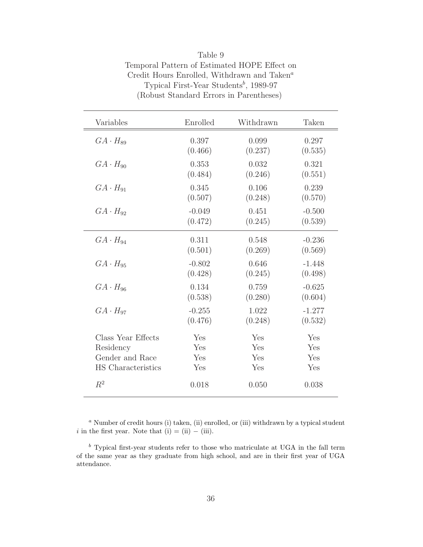| Variables          | Enrolled | Withdrawn | Taken    |
|--------------------|----------|-----------|----------|
| $GA \cdot H_{89}$  | 0.397    | 0.099     | 0.297    |
|                    | (0.466)  | (0.237)   | (0.535)  |
| $GA \cdot H_{90}$  | 0.353    | 0.032     | 0.321    |
|                    | (0.484)  | (0.246)   | (0.551)  |
| $GA \cdot H_{91}$  | 0.345    | 0.106     | 0.239    |
|                    | (0.507)  | (0.248)   | (0.570)  |
| $GA \cdot H_{92}$  | $-0.049$ | 0.451     | $-0.500$ |
|                    | (0.472)  | (0.245)   | (0.539)  |
| $GA \cdot H_{94}$  | 0.311    | 0.548     | $-0.236$ |
|                    | (0.501)  | (0.269)   | (0.569)  |
| $GA \cdot H_{95}$  | $-0.802$ | 0.646     | $-1.448$ |
|                    | (0.428)  | (0.245)   | (0.498)  |
| $GA \cdot H_{96}$  | 0.134    | 0.759     | $-0.625$ |
|                    | (0.538)  | (0.280)   | (0.604)  |
| $GA \cdot H_{97}$  | $-0.255$ | 1.022     | $-1.277$ |
|                    | (0.476)  | (0.248)   | (0.532)  |
| Class Year Effects | Yes      | Yes       | Yes      |
| Residency          | Yes      | Yes       | Yes      |
| Gender and Race    | Yes      | Yes       | Yes      |
| HS Characteristics | Yes      | Yes       | Yes      |
| $R^2$              | 0.018    | 0.050     | 0.038    |

| Table 9                                                 |
|---------------------------------------------------------|
| Temporal Pattern of Estimated HOPE Effect on            |
| Credit Hours Enrolled, Withdrawn and Taken <sup>a</sup> |
| Typical First-Year Students <sup>b</sup> , 1989-97      |
| (Robust Standard Errors in Parentheses)                 |

 $a$  Number of credit hours (i) taken, (ii) enrolled, or (iii) withdrawn by a typical student i in the first year. Note that (i) = (ii) – (iii).

 $\rm ^b$  Typical first-year students refer to those who matriculate at UGA in the fall term of the same year as they graduate from high school, and are in their first year of UGA attendance.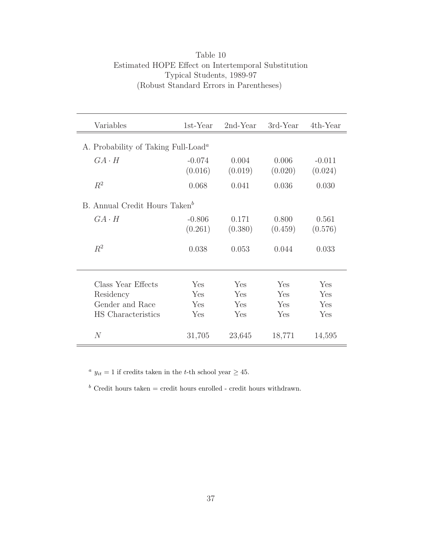| Table 10                                            |
|-----------------------------------------------------|
| Estimated HOPE Effect on Intertemporal Substitution |
| Typical Students, 1989-97                           |
| (Robust Standard Errors in Parentheses)             |

| Variables                                                    | 1st-Year            | $2nd$ -Year      | 3rd-Year         | 4th-Year            |
|--------------------------------------------------------------|---------------------|------------------|------------------|---------------------|
| A. Probability of Taking Full-Load <sup><math>a</math></sup> |                     |                  |                  |                     |
| $GA \cdot H$                                                 | $-0.074$<br>(0.016) | 0.004<br>(0.019) | 0.006<br>(0.020) | $-0.011$<br>(0.024) |
| $R^2$                                                        | 0.068               | 0.041            | 0.036            | 0.030               |
| B. Annual Credit Hours Taken <sup>b</sup>                    |                     |                  |                  |                     |
| $GA \cdot H$                                                 | $-0.806$<br>(0.261) | 0.171<br>(0.380) | 0.800<br>(0.459) | 0.561<br>(0.576)    |
| $R^2$                                                        | 0.038               | 0.053            | 0.044            | 0.033               |
|                                                              |                     |                  |                  |                     |
| Class Year Effects                                           | Yes                 | Yes              | Yes              | Yes                 |
| Residency                                                    | Yes                 | Yes              | Yes              | Yes                 |
| Gender and Race                                              | Yes                 | Yes              | Yes              | Yes                 |
| HS Characteristics                                           | Yes                 | Yes              | Yes              | Yes                 |
| N                                                            | 31,705              | 23,645           | 18,771           | 14,595              |

 $^a$   $y_{it} = 1$  if credits taken in the  $t\text{-th}$  school year  $\geq 45.$ 

 $\real^b$  Credit hours taken = credit hours enrolled - credit hours withdrawn.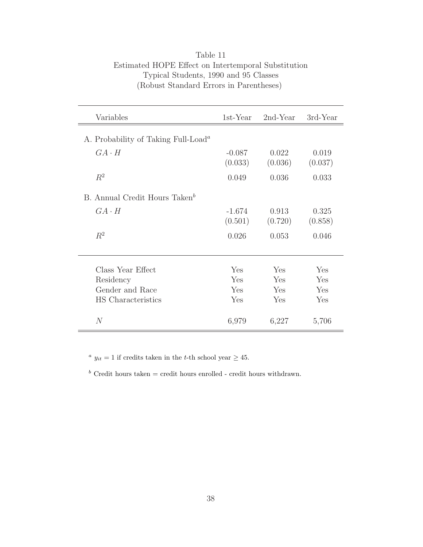| Variables                                                    | 1st-Year            | $2nd$ -Year      | 3rd-Year         |
|--------------------------------------------------------------|---------------------|------------------|------------------|
| A. Probability of Taking Full-Load <sup><math>a</math></sup> |                     |                  |                  |
| $GA \cdot H$                                                 | $-0.087$<br>(0.033) | 0.022<br>(0.036) | 0.019<br>(0.037) |
| $R^2$                                                        | 0.049               | 0.036            | 0.033            |
| B. Annual Credit Hours Taken <sup>b</sup>                    |                     |                  |                  |
| $GA \cdot H$                                                 | $-1.674$<br>(0.501) | 0.913<br>(0.720) | 0.325<br>(0.858) |
| $R^2$                                                        | 0.026               | 0.053            | 0.046            |
| Class Year Effect                                            | Yes                 | Yes              | Yes              |
| Residency                                                    | Yes                 | Yes              | Yes              |
| Gender and Race                                              | Yes                 | Yes              | Yes              |
| HS Characteristics                                           | Yes                 | Yes              | Yes              |
| N                                                            | 6,979               | 6,227            | 5,706            |

#### Table 11 Estimated HOPE Effect on Intertemporal Substitution Typical Students, 1990 and 95 Classes (Robust Standard Errors in Parentheses)

<sup>a</sup>  $y_{it} = 1$  if credits taken in the *t*-th school year  $\geq 45$ .

 $\real^b$  Credit hours taken = credit hours enrolled - credit hours withdrawn.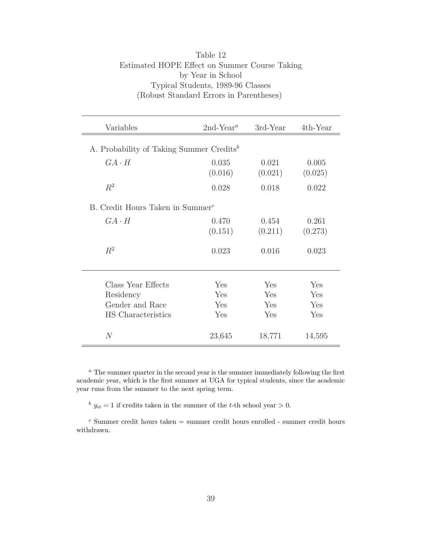| Variables                                                                | $2nd$ -Year <sup>a</sup> | 3rd-Year                 | $4th$ -Year              |  |
|--------------------------------------------------------------------------|--------------------------|--------------------------|--------------------------|--|
| A. Probability of Taking Summer Credits <sup>b</sup>                     |                          |                          |                          |  |
| $GA \cdot H$                                                             | 0.035<br>(0.016)         | 0.021<br>(0.021)         | 0.005<br>(0.025)         |  |
| $R^2$                                                                    | 0.028                    | 0.018                    | 0.022                    |  |
| B. Credit Hours Taken in Summer <sup>c</sup>                             |                          |                          |                          |  |
| $G A \cdot H$                                                            | 0.470<br>(0.151)         | 0.454<br>(0.211)         | 0.261<br>(0.273)         |  |
| $R^2$                                                                    | 0.023                    | 0.016                    | 0.023                    |  |
| Class Year Effects<br>Residency<br>Gender and Race<br>HS Characteristics | Yes<br>Yes<br>Yes<br>Yes | Yes<br>Yes<br>Yes<br>Yes | Yes<br>Yes<br>Yes<br>Yes |  |
| $\overline{N}$                                                           | 23,645                   | 18,771                   | 14,595                   |  |

#### Table 12 Estimated HOPE Effect on Summer Course Taking by Year in School Typical Students, 1989-96 Classes (Robust Standard Errors in Parentheses)

<sup>a</sup> The summer quarter in the second year is the summer immediately following the first academic year, which is the first summer at UGA for typical students, since the academic year runs from the summer to the next spring term.

 $b$   $y_{it} = 1$  if credits taken in the summer of the t-th school year > 0.

 $^c$  Summer credit hours taken = summer credit hours enrolled - summer credit hours withdrawn.